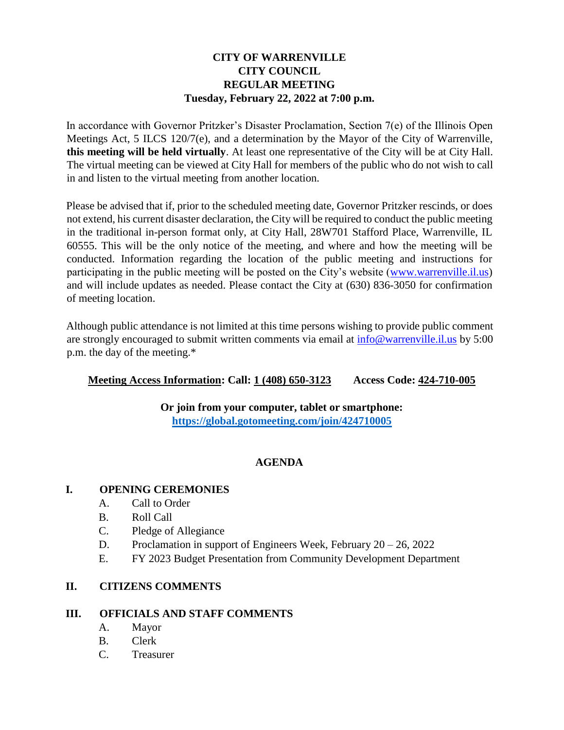# **CITY OF WARRENVILLE CITY COUNCIL REGULAR MEETING Tuesday, February 22, 2022 at 7:00 p.m.**

In accordance with Governor Pritzker's Disaster Proclamation, Section 7(e) of the Illinois Open Meetings Act, 5 ILCS 120/7(e), and a determination by the Mayor of the City of Warrenville, **this meeting will be held virtually**. At least one representative of the City will be at City Hall. The virtual meeting can be viewed at City Hall for members of the public who do not wish to call in and listen to the virtual meeting from another location.

Please be advised that if, prior to the scheduled meeting date, Governor Pritzker rescinds, or does not extend, his current disaster declaration, the City will be required to conduct the public meeting in the traditional in-person format only, at City Hall, 28W701 Stafford Place, Warrenville, IL 60555. This will be the only notice of the meeting, and where and how the meeting will be conducted. Information regarding the location of the public meeting and instructions for participating in the public meeting will be posted on the City's website [\(www.warrenville.il.us\)](http://www.warrenville.il.us/) and will include updates as needed. Please contact the City at (630) 836-3050 for confirmation of meeting location.

Although public attendance is not limited at this time persons wishing to provide public comment are strongly encouraged to submit written comments via email at  $\frac{info@warrevilleu.1.0s}{time}$  by 5:00 p.m. the day of the meeting.\*

## **Meeting Access Information: Call: 1 (408) 650-3123 Access Code: 424-710-005**

**Or join from your computer, tablet or smartphone: <https://global.gotomeeting.com/join/424710005>**

## **AGENDA**

## **I. OPENING CEREMONIES**

- A. Call to Order
- B. Roll Call
- C. Pledge of Allegiance
- D. Proclamation in support of Engineers Week, February 20 26, 2022
- E. FY 2023 Budget Presentation from Community Development Department

## **II. CITIZENS COMMENTS**

#### **III. OFFICIALS AND STAFF COMMENTS**

- A. Mayor
- B. Clerk
- C. Treasurer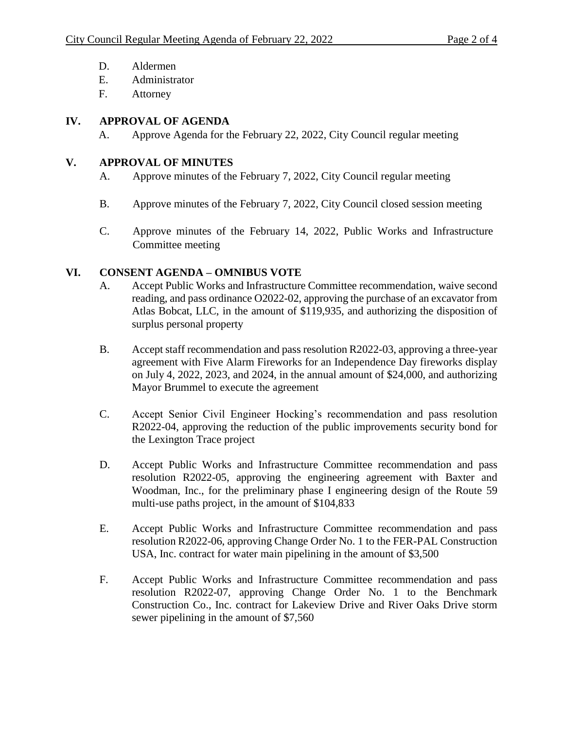- D. Aldermen
- E. Administrator
- F. Attorney

## **IV. APPROVAL OF AGENDA**

A. Approve Agenda for the February 22, 2022, City Council regular meeting

## **V. APPROVAL OF MINUTES**

- A. Approve minutes of the February 7, 2022, City Council regular meeting
- B. Approve minutes of the February 7, 2022, City Council closed session meeting
- C. Approve minutes of the February 14, 2022, Public Works and Infrastructure Committee meeting

# **VI. CONSENT AGENDA – OMNIBUS VOTE**

- A. Accept Public Works and Infrastructure Committee recommendation, waive second reading, and pass ordinance O2022-02, approving the purchase of an excavator from Atlas Bobcat, LLC, in the amount of \$119,935, and authorizing the disposition of surplus personal property
- B. Accept staff recommendation and pass resolution R2022-03, approving a three-year agreement with Five Alarm Fireworks for an Independence Day fireworks display on July 4, 2022, 2023, and 2024, in the annual amount of \$24,000, and authorizing Mayor Brummel to execute the agreement
- C. Accept Senior Civil Engineer Hocking's recommendation and pass resolution R2022-04, approving the reduction of the public improvements security bond for the Lexington Trace project
- D. Accept Public Works and Infrastructure Committee recommendation and pass resolution R2022-05, approving the engineering agreement with Baxter and Woodman, Inc., for the preliminary phase I engineering design of the Route 59 multi-use paths project, in the amount of \$104,833
- E. Accept Public Works and Infrastructure Committee recommendation and pass resolution R2022-06, approving Change Order No. 1 to the FER-PAL Construction USA, Inc. contract for water main pipelining in the amount of \$3,500
- F. Accept Public Works and Infrastructure Committee recommendation and pass resolution R2022-07, approving Change Order No. 1 to the Benchmark Construction Co., Inc. contract for Lakeview Drive and River Oaks Drive storm sewer pipelining in the amount of \$7,560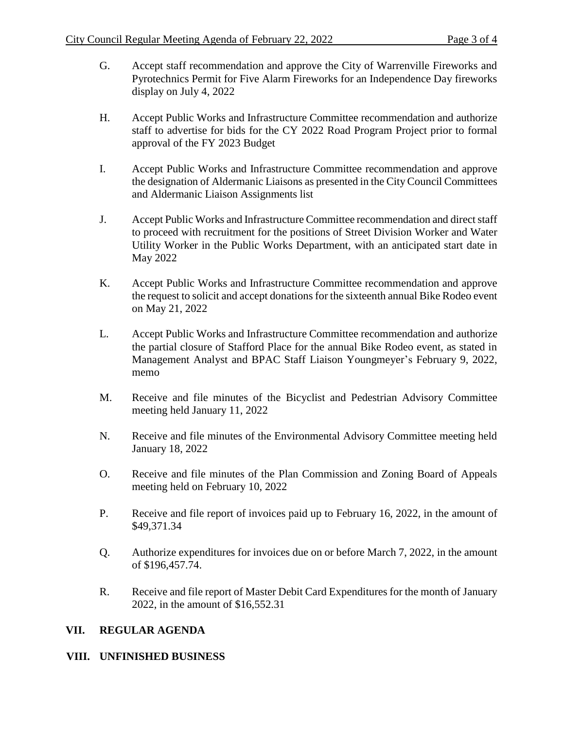- G. Accept staff recommendation and approve the City of Warrenville Fireworks and Pyrotechnics Permit for Five Alarm Fireworks for an Independence Day fireworks display on July 4, 2022
- H. Accept Public Works and Infrastructure Committee recommendation and authorize staff to advertise for bids for the CY 2022 Road Program Project prior to formal approval of the FY 2023 Budget
- I. Accept Public Works and Infrastructure Committee recommendation and approve the designation of Aldermanic Liaisons as presented in the City Council Committees and Aldermanic Liaison Assignments list
- J. Accept Public Works and Infrastructure Committee recommendation and direct staff to proceed with recruitment for the positions of Street Division Worker and Water Utility Worker in the Public Works Department, with an anticipated start date in May 2022
- K. Accept Public Works and Infrastructure Committee recommendation and approve the request to solicit and accept donations for the sixteenth annual Bike Rodeo event on May 21, 2022
- L. Accept Public Works and Infrastructure Committee recommendation and authorize the partial closure of Stafford Place for the annual Bike Rodeo event, as stated in Management Analyst and BPAC Staff Liaison Youngmeyer's February 9, 2022, memo
- M. Receive and file minutes of the Bicyclist and Pedestrian Advisory Committee meeting held January 11, 2022
- N. Receive and file minutes of the Environmental Advisory Committee meeting held January 18, 2022
- O. Receive and file minutes of the Plan Commission and Zoning Board of Appeals meeting held on February 10, 2022
- P. Receive and file report of invoices paid up to February 16, 2022, in the amount of \$49,371.34
- Q. Authorize expenditures for invoices due on or before March 7, 2022, in the amount of \$196,457.74.
- R. Receive and file report of Master Debit Card Expenditures for the month of January 2022, in the amount of \$16,552.31

## **VII. REGULAR AGENDA**

#### **VIII. UNFINISHED BUSINESS**